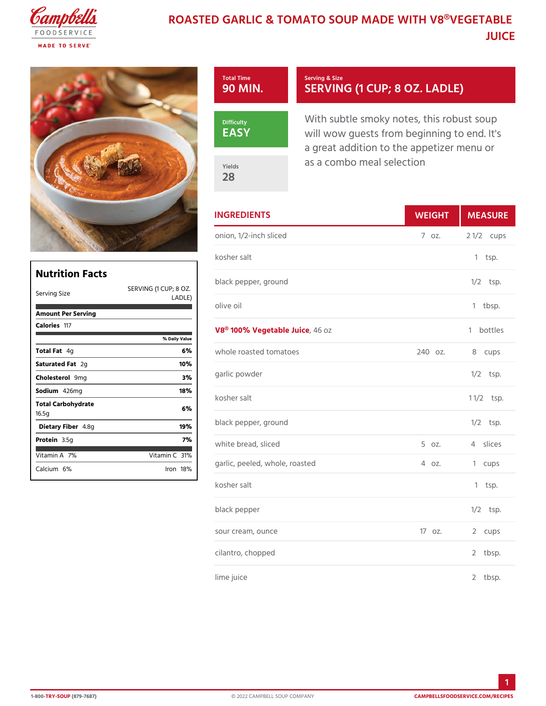## ROASTED GARLIC & TOMATO SOUP MADE W JUICE

| Total Time<br>90 MIN. | Serving & Size<br>SERVING (1 CUP; 8 OZ.                                                                |
|-----------------------|--------------------------------------------------------------------------------------------------------|
| Difficulty<br>EASY    | With subtle smoky notes, this re<br>will wow guests from beginning<br>a great addition to the appetize |
| Yields<br>28          | as a combo meal selection                                                                              |

| <b>INGREDIENTS</b>               | WEIGH           | MEASU          |
|----------------------------------|-----------------|----------------|
| onion, 1/2-inch sliced           | $7.0Z$ .        | 2 $1/2c$ ups   |
| kosher salt                      |                 | $1$ tsp.       |
| black pepper, ground<br>P: 8 OZ. |                 | $1/2$ tsp.     |
| $\mathcal{E}$<br>olive oil       |                 | $1$ tbsp.      |
| V8® 100% Vegetab48 duice<br>u e  |                 | bottles<br>1.  |
| whole roasted tomatoes           |                 | 240 oz. 8 cups |
| garlic powder                    |                 | $1/2$ tsp.     |
| kosher salt                      |                 | $1 \t1/2$ sp.  |
| black pepper, ground             |                 | $1/2$ tsp.     |
| white bread, sliced              | $5 \text{ oz}.$ | 4 slices       |
| garlic, peeled, whole, roasted   | 40z.            | 1 cups         |
| kosher salt                      |                 | $1$ tsp.       |
| black pepper                     |                 | $1/2$ tsp.     |
| sour cream, ounce                | $170z$ .        | 2 cups         |
| cilantro, chopped                |                 | 2 tbsp.        |
| lime juice                       |                 | 2 tbsp.        |

| Nutrition Facts             |                          | black      |
|-----------------------------|--------------------------|------------|
| Serving Size                | SERVING (1 CUP;          | 8 OZ.      |
| Amount Per Serving          | LADLE)                   | olive      |
| Caloriels17                 |                          | <b>V8®</b> |
|                             | % Daily Value            |            |
| Total F4ad                  | $w$ h o $l$ $\epsilon$   |            |
| Saturated 2Fgat             | 10%                      |            |
| Choleste <b>9</b> omig      | 3%                       | garlio     |
| Sodium426mg                 | 18%                      |            |
| Total Carbohydrate<br>16.5g | 6 %                      | kosho      |
| Dietary F4ib&egr            | 19%                      | black      |
| Protei <b>a</b> .5g         | 7%                       | white      |
| Vitamin7A                   | Vitamin3C <sup>1</sup> % |            |
| Calcium <sup>e</sup> %      | $l$ ron 18 $\%$          | garlig     |
|                             |                          |            |

Г

 $\overline{\phantom{a}}$ 

1